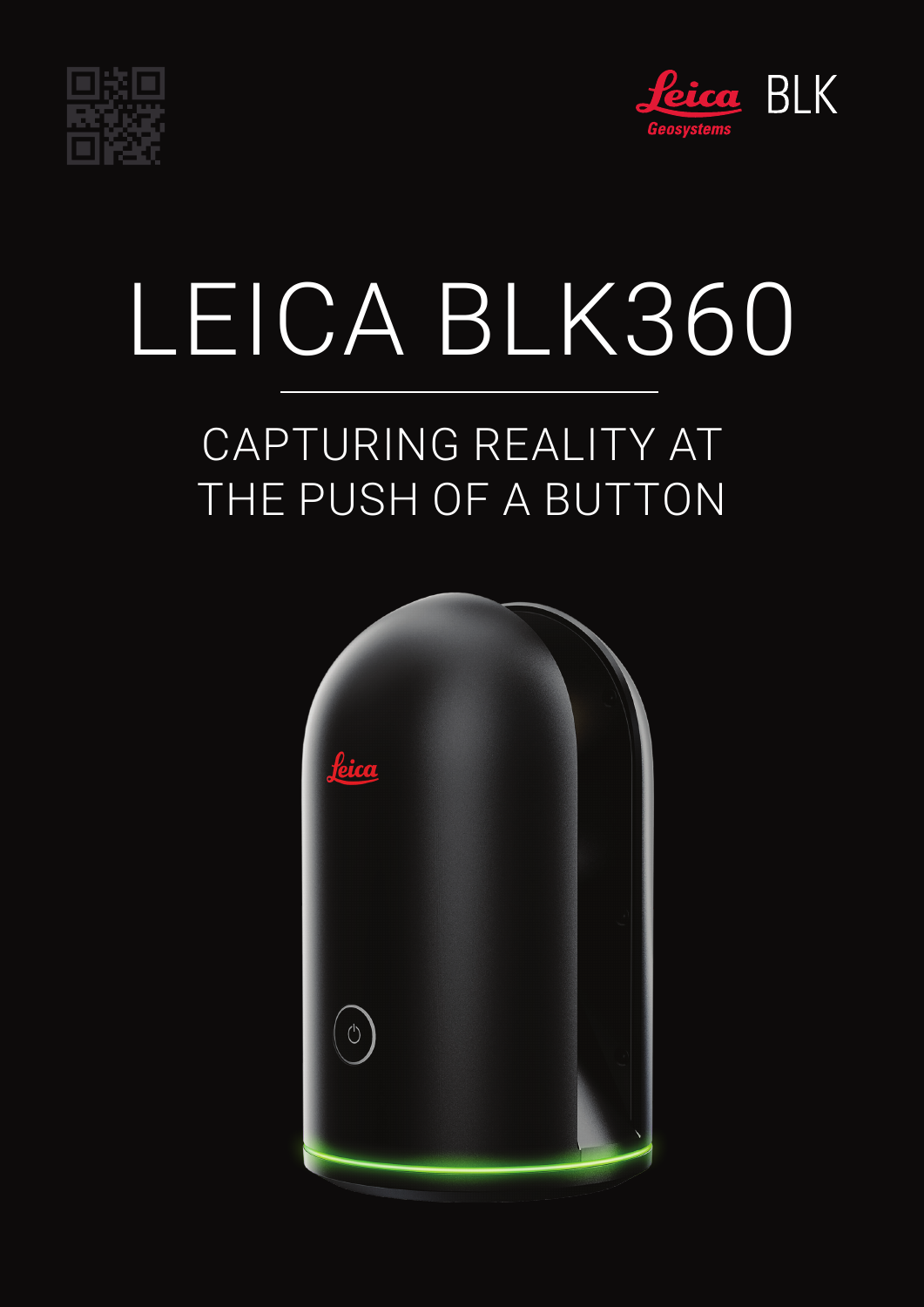



# LEICA BLK360 CAPTURING REALITY AT THE PUSH OF A BUTTON